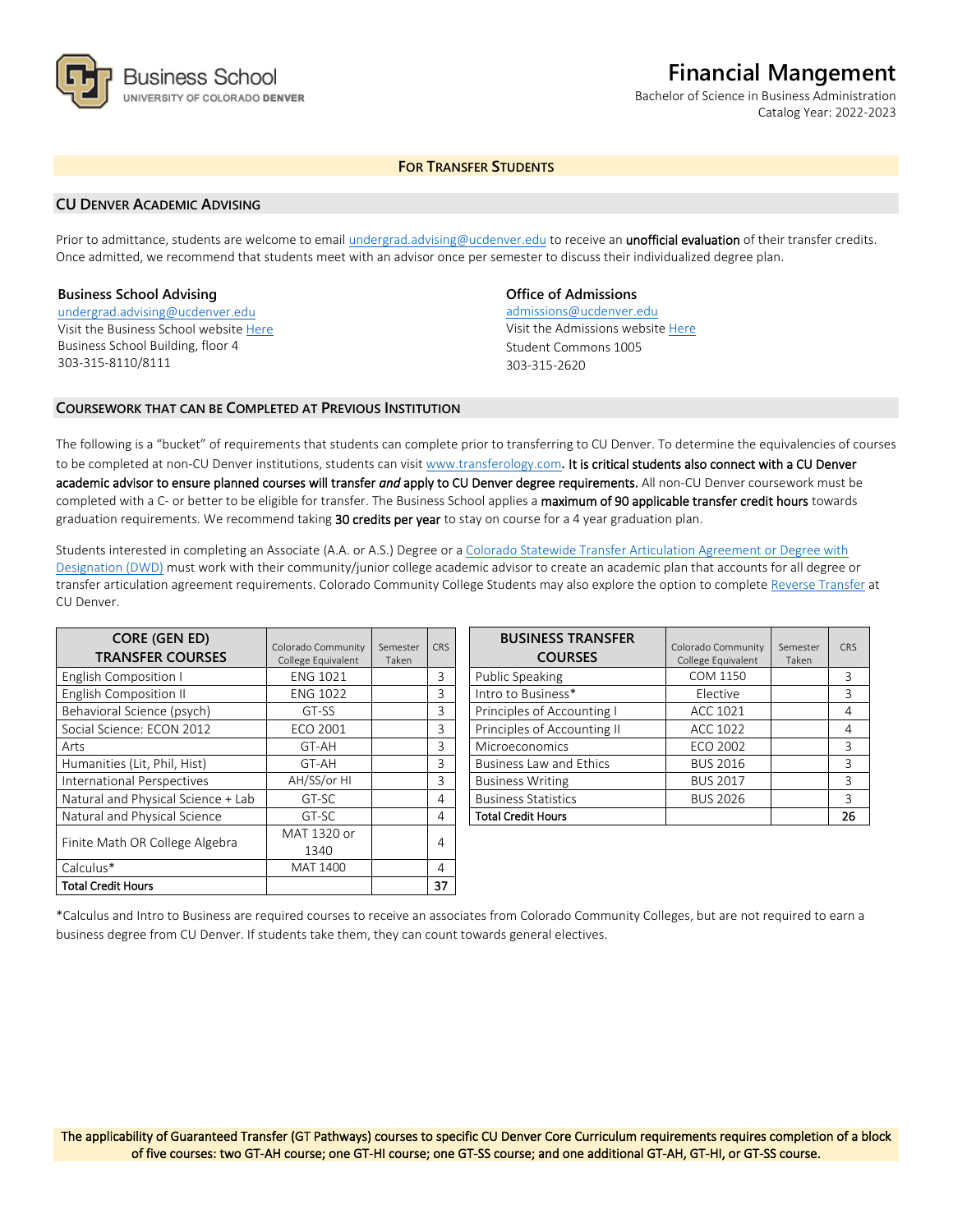

# **Financial Mangement**

Bachelor of Science in Business Administration Catalog Year: 2022-2023

# **FOR TRANSFER STUDENTS**

## **CU DENVER ACADEMIC ADVISING**

Prior to admittance, students are welcome to email [undergrad.advising@ucdenver.edu](mailto:undergrad.advising@ucdenver.edu) to receive an *unofficial evaluation* of their transfer credits. Once admitted, we recommend that students meet with an advisor once per semester to discuss their individualized degree plan.

## **Business School Advising**

[undergrad.advising@ucdenver.edu](mailto:undergrad.advising@ucdenver.edu) Visit the Business School websit[e Here](http://www.ucdenver.edu/academics/colleges/business/Pages/business-school.aspx)  Business School Building, floor 4 303-315-8110/8111

## **Office of Admissions**

admissions@ucdenver.edu Visit the Admissions website [Here](http://www.ucdenver.edu/admissions/) Student Commons 1005 303-315-2620

## **COURSEWORK THAT CAN BE COMPLETED AT PREVIOUS INSTITUTION**

The following is a "bucket" of requirements that students can complete prior to transferring to CU Denver. To determine the equivalencies of courses to be completed at non-CU Denver institutions, students can visit [www.transferology.com](http://www.transferology.com/)**.** It is critical students also connect with a CU Denver academic advisor to ensure planned courses will transfer *and* apply to CU Denver degree requirements. All non-CU Denver coursework must be completed with a C- or better to be eligible for transfer. The Business School applies a maximum of 90 applicable transfer credit hours towards graduation requirements. We recommend taking 30 credits per year to stay on course for a 4 year graduation plan.

Students interested in completing an Associate (A.A. or A.S.) Degree or a [Colorado Statewide Transfer Articulation Agreement or Degree with](https://highered.colorado.gov/Academics/Transfers/TransferDegrees.html)  [Designation \(DWD\)](https://highered.colorado.gov/Academics/Transfers/TransferDegrees.html) must work with their community/junior college academic advisor to create an academic plan that accounts for all degree or transfer articulation agreement requirements. Colorado Community College Students may also explore the option to complet[e Reverse Transfer](https://degreewithinreach.wordpress.com/) at CU Denver.

| <b>CORE (GEN ED)</b><br><b>TRANSFER COURSES</b> | Colorado Community<br>College Equivalent | Semester<br>Taken | <b>CRS</b> |  |
|-------------------------------------------------|------------------------------------------|-------------------|------------|--|
| <b>English Composition I</b>                    | <b>ENG 1021</b>                          |                   | 3          |  |
| <b>English Composition II</b>                   | <b>ENG 1022</b>                          |                   | 3          |  |
| Behavioral Science (psych)                      | GT-SS                                    |                   | 3          |  |
| Social Science: ECON 2012                       | <b>ECO 2001</b>                          |                   | 3          |  |
| Arts                                            | GT-AH                                    |                   | 3          |  |
| Humanities (Lit, Phil, Hist)                    | GT-AH                                    |                   | 3          |  |
| International Perspectives                      | AH/SS/or HI                              |                   | 3          |  |
| Natural and Physical Science + Lab              | GT-SC                                    |                   | 4          |  |
| Natural and Physical Science                    | GT-SC                                    |                   | 4          |  |
|                                                 | MAT 1320 or                              |                   |            |  |
| Finite Math OR College Algebra                  | 1340                                     |                   | 4          |  |
| Calculus*                                       | MAT 1400                                 |                   | 4          |  |
| Total Credit Hours                              |                                          |                   | 37         |  |

| <b>BUSINESS TRANSFER</b><br><b>COURSES</b> | Colorado Community<br>College Equivalent | Semester<br>Taken | CRS |
|--------------------------------------------|------------------------------------------|-------------------|-----|
| <b>Public Speaking</b>                     | COM 1150                                 |                   | 3   |
| Intro to Business*                         | Elective                                 |                   | 3   |
| Principles of Accounting I                 | ACC 1021                                 |                   | 4   |
| Principles of Accounting II                | ACC 1022                                 |                   | 4   |
| Microeconomics                             | ECO 2002                                 |                   | 3   |
| <b>Business Law and Ethics</b>             | <b>BUS 2016</b>                          |                   | 3   |
| <b>Business Writing</b>                    | <b>BUS 2017</b>                          |                   | ζ   |
| <b>Business Statistics</b>                 | <b>BUS 2026</b>                          |                   | 3   |
| <b>Total Credit Hours</b>                  |                                          |                   | 26  |

\*Calculus and Intro to Business are required courses to receive an associates from Colorado Community Colleges, but are not required to earn a business degree from CU Denver. If students take them, they can count towards general electives.